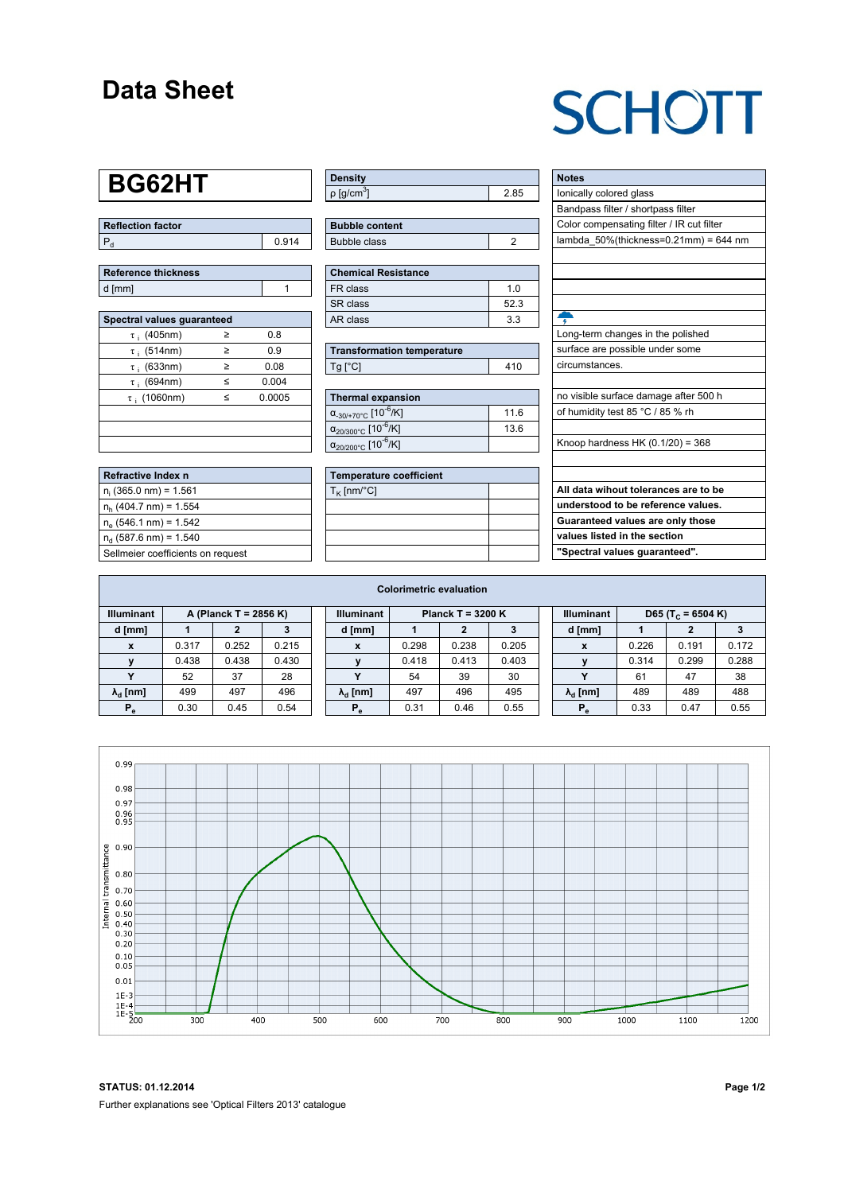#### **Data Sheet**

## **SCHOTT**

## **BG62HT**

| Reflection factor |       |  |  |  |  |  |
|-------------------|-------|--|--|--|--|--|
|                   | 0.914 |  |  |  |  |  |

| <b>Reference thickness</b> |  |
|----------------------------|--|
| d [mm]                     |  |

| Spectral values guaranteed |   |        |  |  |  |  |  |  |  |
|----------------------------|---|--------|--|--|--|--|--|--|--|
| $\tau$ ; (405nm)           | ≥ | 0.8    |  |  |  |  |  |  |  |
| $\tau$ ; (514nm)           | ≥ | 0.9    |  |  |  |  |  |  |  |
| $\tau$ ; (633nm)           | > | 0.08   |  |  |  |  |  |  |  |
| $\tau$ ; (694nm)           | < | 0.004  |  |  |  |  |  |  |  |
| $\tau$ ; (1060nm)          | < | 0.0005 |  |  |  |  |  |  |  |
|                            |   |        |  |  |  |  |  |  |  |
|                            |   |        |  |  |  |  |  |  |  |
|                            |   |        |  |  |  |  |  |  |  |

| Refractive Index n                |
|-----------------------------------|
| $n_i$ (365.0 nm) = 1.561          |
| $n_h$ (404.7 nm) = 1.554          |
| $n_e$ (546.1 nm) = 1.542          |
| $n_a$ (587.6 nm) = 1.540          |
| Sellmeier coefficients on request |

| <b>Density</b>              |      |
|-----------------------------|------|
| $\rho$ [g/cm <sup>3</sup> ] | 2.85 |

| <b>Bubble content</b> |  |
|-----------------------|--|
| Bubble class          |  |
|                       |  |

| <b>Chemical Resistance</b> |     |  |  |  |  |  |  |
|----------------------------|-----|--|--|--|--|--|--|
| FR class                   | 1 በ |  |  |  |  |  |  |
| SR class                   | 523 |  |  |  |  |  |  |
| AR class                   | 33  |  |  |  |  |  |  |

| <b>Transformation temperature</b> |     |  |  |  |  |  |
|-----------------------------------|-----|--|--|--|--|--|
| $Ta$ $C1$                         | 410 |  |  |  |  |  |

| Thermal expansion                                 |      |
|---------------------------------------------------|------|
| $\alpha_{.30/+70\degree}$ C [10 <sup>-6</sup> /K] | 11.6 |
| $\alpha_{20/300^{\circ}C}$ [10 <sup>-6</sup> /K]  | 13.6 |
| $\alpha_{20/200^{\circ}C}$ [10 <sup>-6</sup> /K]  |      |

| <b>Temperature coefficient</b> |  |  |  |  |  |  |
|--------------------------------|--|--|--|--|--|--|
| $T_K$ [nm/°C]                  |  |  |  |  |  |  |
|                                |  |  |  |  |  |  |
|                                |  |  |  |  |  |  |
|                                |  |  |  |  |  |  |
|                                |  |  |  |  |  |  |

| <b>Notes</b>                              |
|-------------------------------------------|
| lonically colored glass                   |
| Bandpass filter / shortpass filter        |
| Color compensating filter / IR cut filter |
| lambda $50\%$ (thickness=0.21mm) = 644 nm |
|                                           |
|                                           |
|                                           |
|                                           |
|                                           |
| Long-term changes in the polished         |
| surface are possible under some           |
| circumstances.                            |
|                                           |
| no visible surface damage after 500 h     |
| of humidity test 85 °C / 85 % rh          |
|                                           |
| Knoop hardness HK $(0.1/20) = 368$        |
|                                           |
|                                           |
| All data wihout tolerances are to be      |
| understood to be reference values.        |
| Guaranteed values are only those          |
| values listed in the section              |

**"Spectral values guaranteed".**

|                                            | <b>Colorimetric evaluation</b> |       |       |                   |                        |       |       |       |                   |                               |       |       |       |
|--------------------------------------------|--------------------------------|-------|-------|-------------------|------------------------|-------|-------|-------|-------------------|-------------------------------|-------|-------|-------|
| <b>Illuminant</b><br>A (Planck T = 2856 K) |                                |       |       | <b>Illuminant</b> | Planck $T = 3200 K$    |       |       |       | <b>Illuminant</b> | D65 (T <sub>c</sub> = 6504 K) |       |       |       |
| d [mm]                                     |                                |       |       |                   | d [mm]                 |       |       |       |                   | d [mm]                        |       |       |       |
| X                                          | 0.317                          | 0.252 | 0.215 |                   | X                      | 0.298 | 0.238 | 0.205 |                   | X                             | 0.226 | 0.191 | 0.172 |
|                                            | 0.438                          | 0.438 | 0.430 |                   |                        | 0.418 | 0.413 | 0.403 |                   |                               | 0.314 | 0.299 | 0.288 |
|                                            | 52                             | 37    | 28    |                   |                        | 54    | 39    | 30    |                   | $\cdot$                       | 61    | 47    | 38    |
| $\lambda_{\rm d}$ [nm]                     | 499                            | 497   | 496   |                   | $\lambda_{\rm d}$ [nm] | 497   | 496   | 495   |                   | $\lambda_{\rm d}$ [nm]        | 489   | 489   | 488   |
| $P_e$                                      | 0.30                           | 0.45  | 0.54  |                   | $P_e$                  | 0.31  | 0.46  | 0.55  |                   | $P_e$                         | 0.33  | 0.47  | 0.55  |
|                                            |                                |       |       |                   |                        |       |       |       |                   |                               |       |       |       |



**STATUS: 01.12.2014 Page 1/2** Further explanations see 'Optical Filters 2013' catalogue